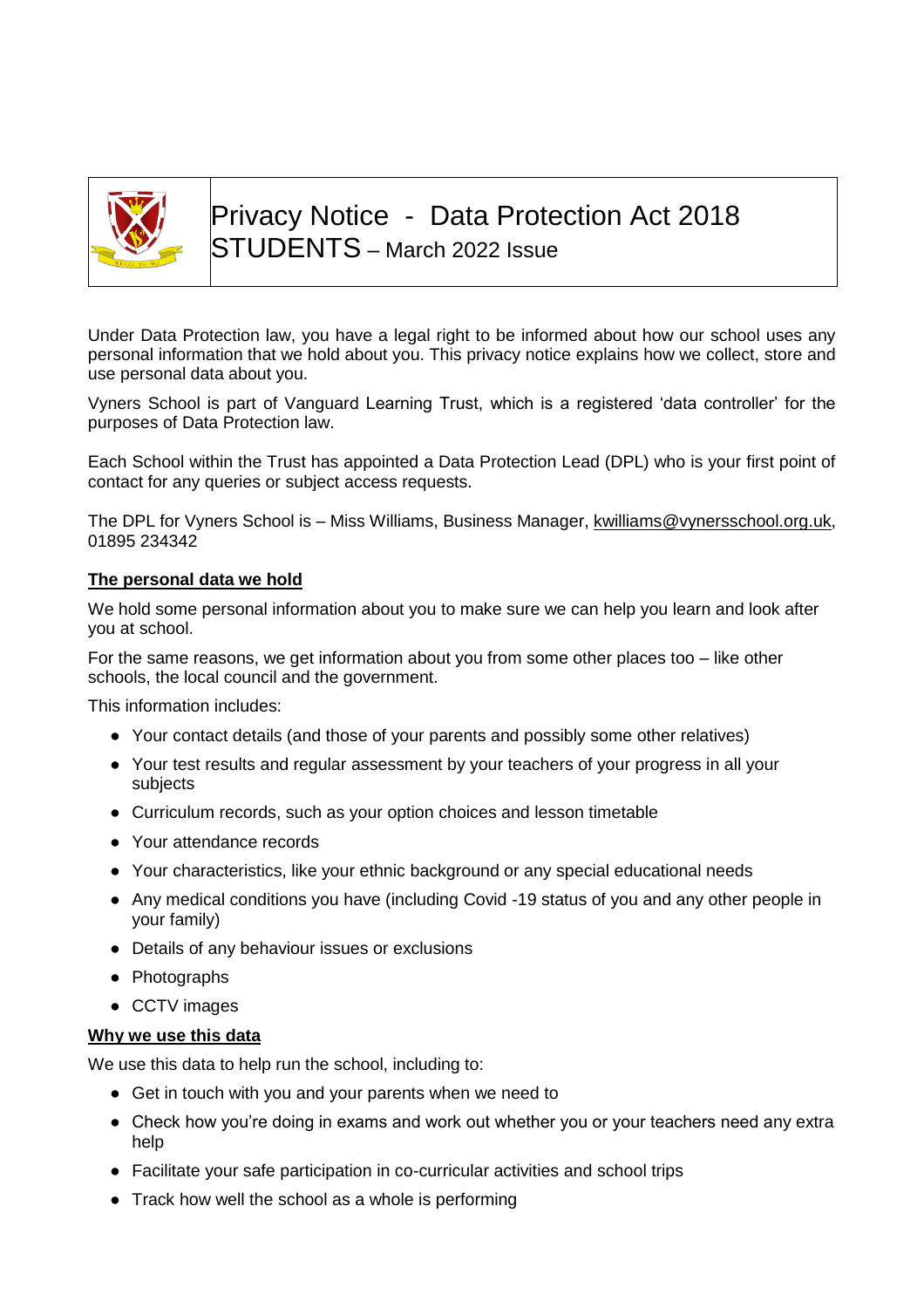

Privacy Notice - Data Protection Act 2018 STUDENTS – March 2022 Issue

Under Data Protection law, you have a legal right to be informed about how our school uses any personal information that we hold about you. This privacy notice explains how we collect, store and use personal data about you.

Vyners School is part of Vanguard Learning Trust, which is a registered 'data controller' for the purposes of Data Protection law.

Each School within the Trust has appointed a Data Protection Lead (DPL) who is your first point of contact for any queries or subject access requests.

The DPL for Vyners School is – Miss Williams, Business Manager, [kwilliams@vynersschool.org.uk,](mailto:kwilliams@vynersschool.org.uk) 01895 234342

## **The personal data we hold**

We hold some personal information about you to make sure we can help you learn and look after you at school.

For the same reasons, we get information about you from some other places too  $-$  like other schools, the local council and the government.

This information includes:

- Your contact details (and those of your parents and possibly some other relatives)
- Your test results and regular assessment by your teachers of your progress in all your subjects
- Curriculum records, such as your option choices and lesson timetable
- Your attendance records
- Your characteristics, like your ethnic background or any special educational needs
- Any medical conditions you have (including Covid -19 status of you and any other people in your family)
- Details of any behaviour issues or exclusions
- Photographs
- CCTV images

#### **Why we use this data**

We use this data to help run the school, including to:

- Get in touch with you and your parents when we need to
- Check how you're doing in exams and work out whether you or your teachers need any extra help
- Facilitate your safe participation in co-curricular activities and school trips
- Track how well the school as a whole is performing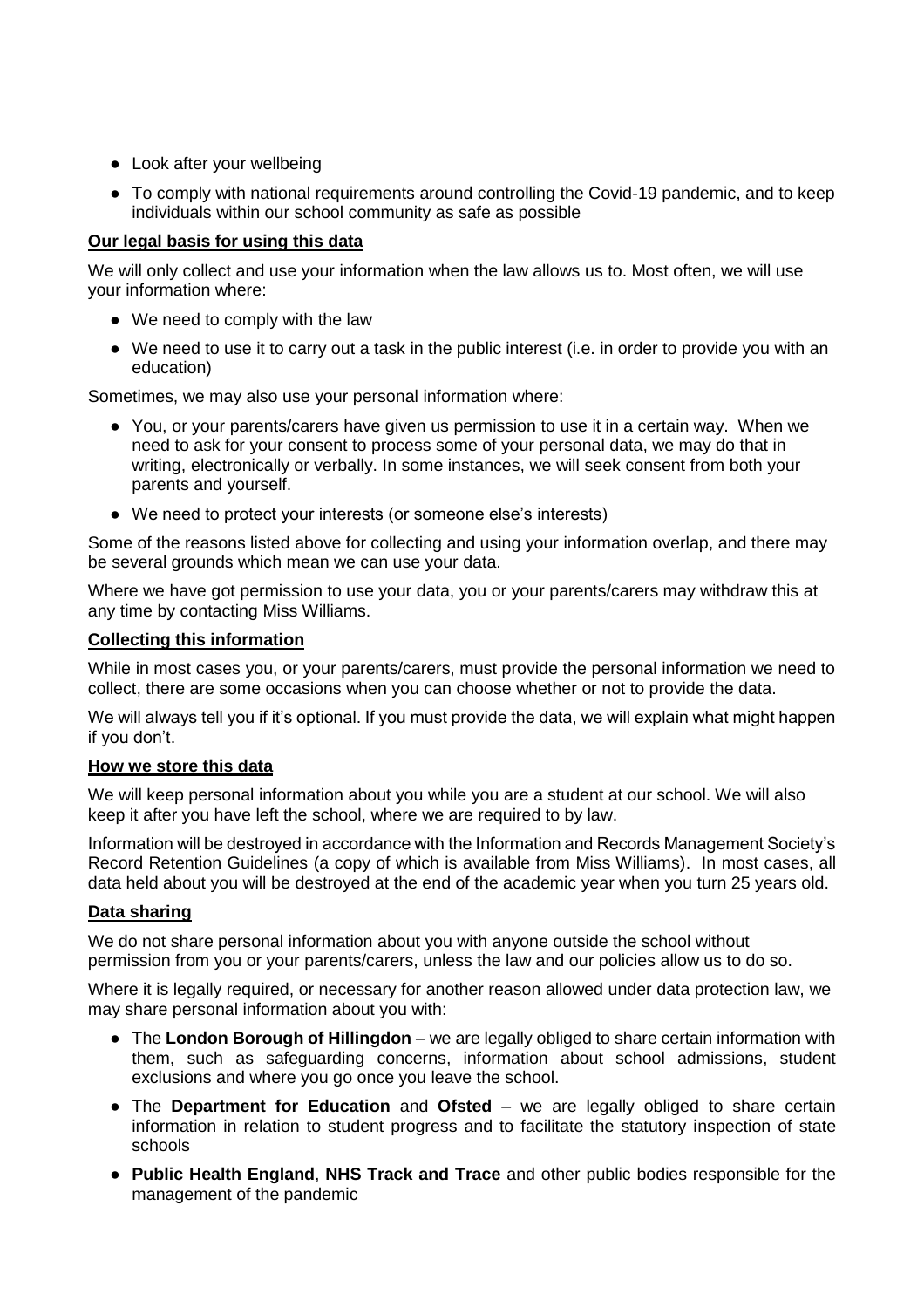- Look after your wellbeing
- To comply with national requirements around controlling the Covid-19 pandemic, and to keep individuals within our school community as safe as possible

## **Our legal basis for using this data**

We will only collect and use your information when the law allows us to. Most often, we will use your information where:

- We need to comply with the law
- We need to use it to carry out a task in the public interest (i.e. in order to provide you with an education)

Sometimes, we may also use your personal information where:

- You, or your parents/carers have given us permission to use it in a certain way. When we need to ask for your consent to process some of your personal data, we may do that in writing, electronically or verbally. In some instances, we will seek consent from both your parents and yourself.
- We need to protect your interests (or someone else's interests)

Some of the reasons listed above for collecting and using your information overlap, and there may be several grounds which mean we can use your data.

Where we have got permission to use your data, you or your parents/carers may withdraw this at any time by contacting Miss Williams.

## **Collecting this information**

While in most cases you, or your parents/carers, must provide the personal information we need to collect, there are some occasions when you can choose whether or not to provide the data.

We will always tell you if it's optional. If you must provide the data, we will explain what might happen if you don't.

## **How we store this data**

We will keep personal information about you while you are a student at our school. We will also keep it after you have left the school, where we are required to by law.

Information will be destroyed in accordance with the Information and Records Management Society's Record Retention Guidelines (a copy of which is available from Miss Williams). In most cases, all data held about you will be destroyed at the end of the academic year when you turn 25 years old.

## **Data sharing**

We do not share personal information about you with anyone outside the school without permission from you or your parents/carers, unless the law and our policies allow us to do so.

Where it is legally required, or necessary for another reason allowed under data protection law, we may share personal information about you with:

- The **London Borough of Hillingdon** we are legally obliged to share certain information with them, such as safeguarding concerns, information about school admissions, student exclusions and where you go once you leave the school.
- The **Department for Education** and **Ofsted** we are legally obliged to share certain information in relation to student progress and to facilitate the statutory inspection of state schools
- **Public Health England**, **NHS Track and Trace** and other public bodies responsible for the management of the pandemic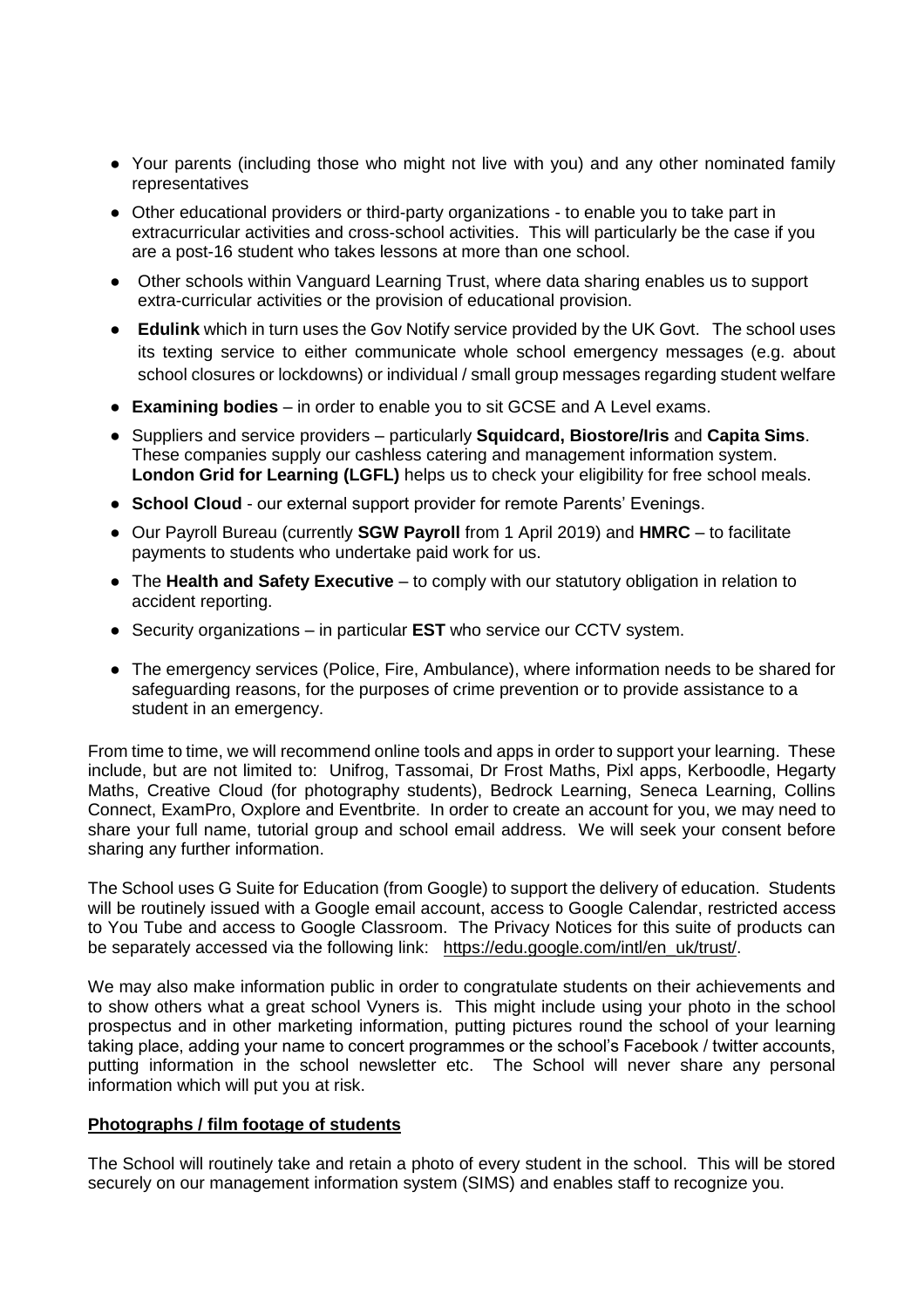- Your parents (including those who might not live with you) and any other nominated family representatives
- Other educational providers or third-party organizations to enable you to take part in extracurricular activities and cross-school activities. This will particularly be the case if you are a post-16 student who takes lessons at more than one school.
- Other schools within Vanguard Learning Trust, where data sharing enables us to support extra-curricular activities or the provision of educational provision.
- **Edulink** which in turn uses the Gov Notify service provided by the UK Govt. The school uses its texting service to either communicate whole school emergency messages (e.g. about school closures or lockdowns) or individual / small group messages regarding student welfare
- **Examining bodies** in order to enable you to sit GCSE and A Level exams.
- Suppliers and service providers particularly **Squidcard, Biostore/Iris** and **Capita Sims**. These companies supply our cashless catering and management information system. **London Grid for Learning (LGFL)** helps us to check your eligibility for free school meals.
- **School Cloud** our external support provider for remote Parents' Evenings.
- Our Payroll Bureau (currently **SGW Payroll** from 1 April 2019) and **HMRC** to facilitate payments to students who undertake paid work for us.
- The **Health and Safety Executive**  to comply with our statutory obligation in relation to accident reporting.
- Security organizations in particular **EST** who service our CCTV system.
- The emergency services (Police, Fire, Ambulance), where information needs to be shared for safeguarding reasons, for the purposes of crime prevention or to provide assistance to a student in an emergency.

From time to time, we will recommend online tools and apps in order to support your learning. These include, but are not limited to: Unifrog, Tassomai, Dr Frost Maths, Pixl apps, Kerboodle, Hegarty Maths, Creative Cloud (for photography students), Bedrock Learning, Seneca Learning, Collins Connect, ExamPro, Oxplore and Eventbrite. In order to create an account for you, we may need to share your full name, tutorial group and school email address. We will seek your consent before sharing any further information.

The School uses G Suite for Education (from Google) to support the delivery of education. Students will be routinely issued with a Google email account, access to Google Calendar, restricted access to You Tube and access to Google Classroom. The Privacy Notices for this suite of products can be separately accessed via the following link: [https://edu.google.com/intl/en\\_uk/trust/.](https://edu.google.com/intl/en_uk/trust/)

We may also make information public in order to congratulate students on their achievements and to show others what a great school Vyners is. This might include using your photo in the school prospectus and in other marketing information, putting pictures round the school of your learning taking place, adding your name to concert programmes or the school's Facebook / twitter accounts, putting information in the school newsletter etc. The School will never share any personal information which will put you at risk.

#### **Photographs / film footage of students**

The School will routinely take and retain a photo of every student in the school. This will be stored securely on our management information system (SIMS) and enables staff to recognize you.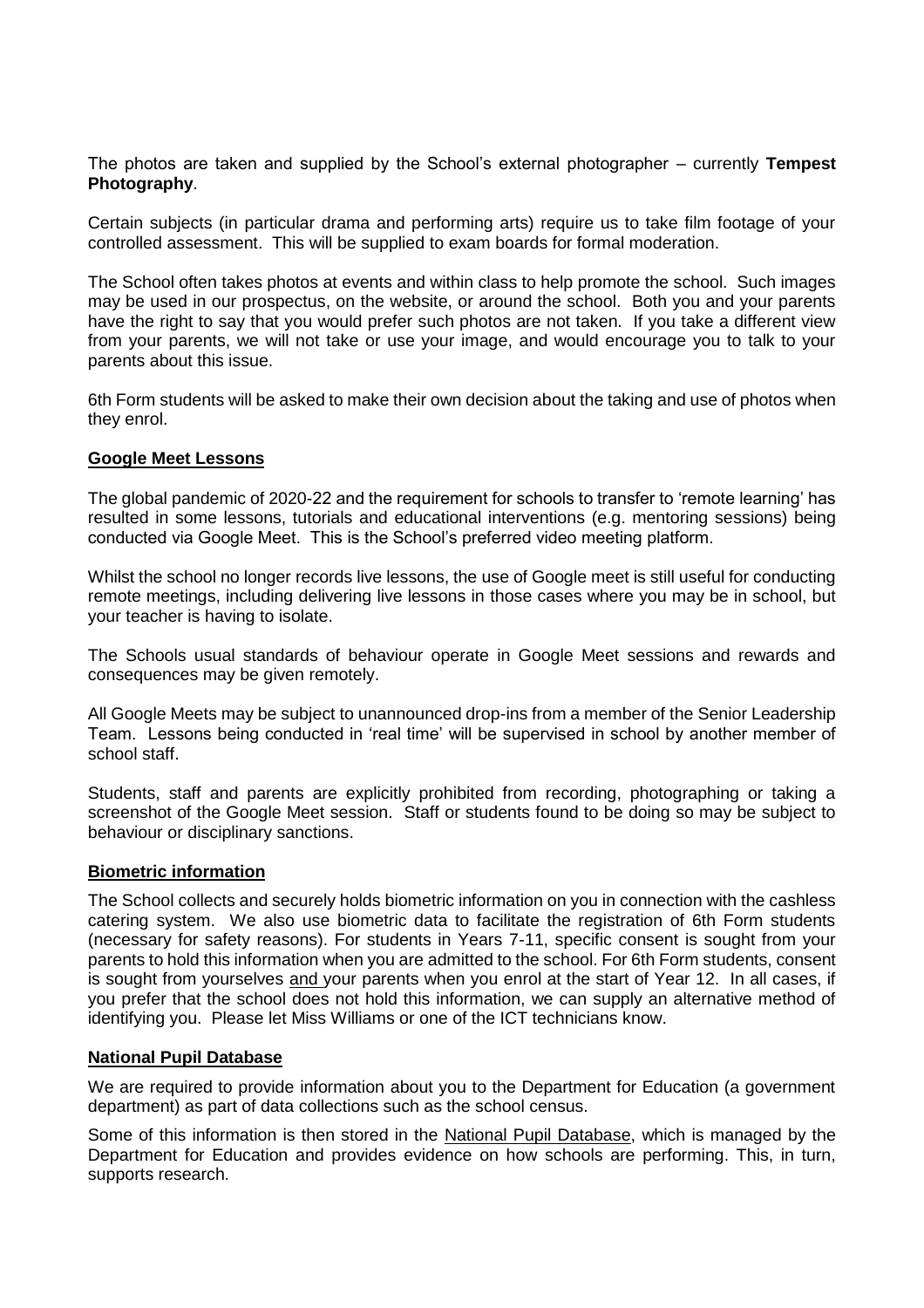The photos are taken and supplied by the School's external photographer – currently **Tempest Photography**.

Certain subjects (in particular drama and performing arts) require us to take film footage of your controlled assessment. This will be supplied to exam boards for formal moderation.

The School often takes photos at events and within class to help promote the school. Such images may be used in our prospectus, on the website, or around the school. Both you and your parents have the right to say that you would prefer such photos are not taken. If you take a different view from your parents, we will not take or use your image, and would encourage you to talk to your parents about this issue.

6th Form students will be asked to make their own decision about the taking and use of photos when they enrol.

### **Google Meet Lessons**

The global pandemic of 2020-22 and the requirement for schools to transfer to 'remote learning' has resulted in some lessons, tutorials and educational interventions (e.g. mentoring sessions) being conducted via Google Meet. This is the School's preferred video meeting platform.

Whilst the school no longer records live lessons, the use of Google meet is still useful for conducting remote meetings, including delivering live lessons in those cases where you may be in school, but your teacher is having to isolate.

The Schools usual standards of behaviour operate in Google Meet sessions and rewards and consequences may be given remotely.

All Google Meets may be subject to unannounced drop-ins from a member of the Senior Leadership Team. Lessons being conducted in 'real time' will be supervised in school by another member of school staff.

Students, staff and parents are explicitly prohibited from recording, photographing or taking a screenshot of the Google Meet session. Staff or students found to be doing so may be subject to behaviour or disciplinary sanctions.

#### **Biometric information**

The School collects and securely holds biometric information on you in connection with the cashless catering system. We also use biometric data to facilitate the registration of 6th Form students (necessary for safety reasons). For students in Years 7-11, specific consent is sought from your parents to hold this information when you are admitted to the school. For 6th Form students, consent is sought from yourselves and your parents when you enrol at the start of Year 12. In all cases, if you prefer that the school does not hold this information, we can supply an alternative method of identifying you. Please let Miss Williams or one of the ICT technicians know.

#### **National Pupil Database**

We are required to provide information about you to the Department for Education (a government department) as part of data collections such as the school census.

Some of this information is then stored in the [National Pupil Database,](https://www.gov.uk/government/publications/national-pupil-database-user-guide-and-supporting-information) which is managed by the Department for Education and provides evidence on how schools are performing. This, in turn, supports research.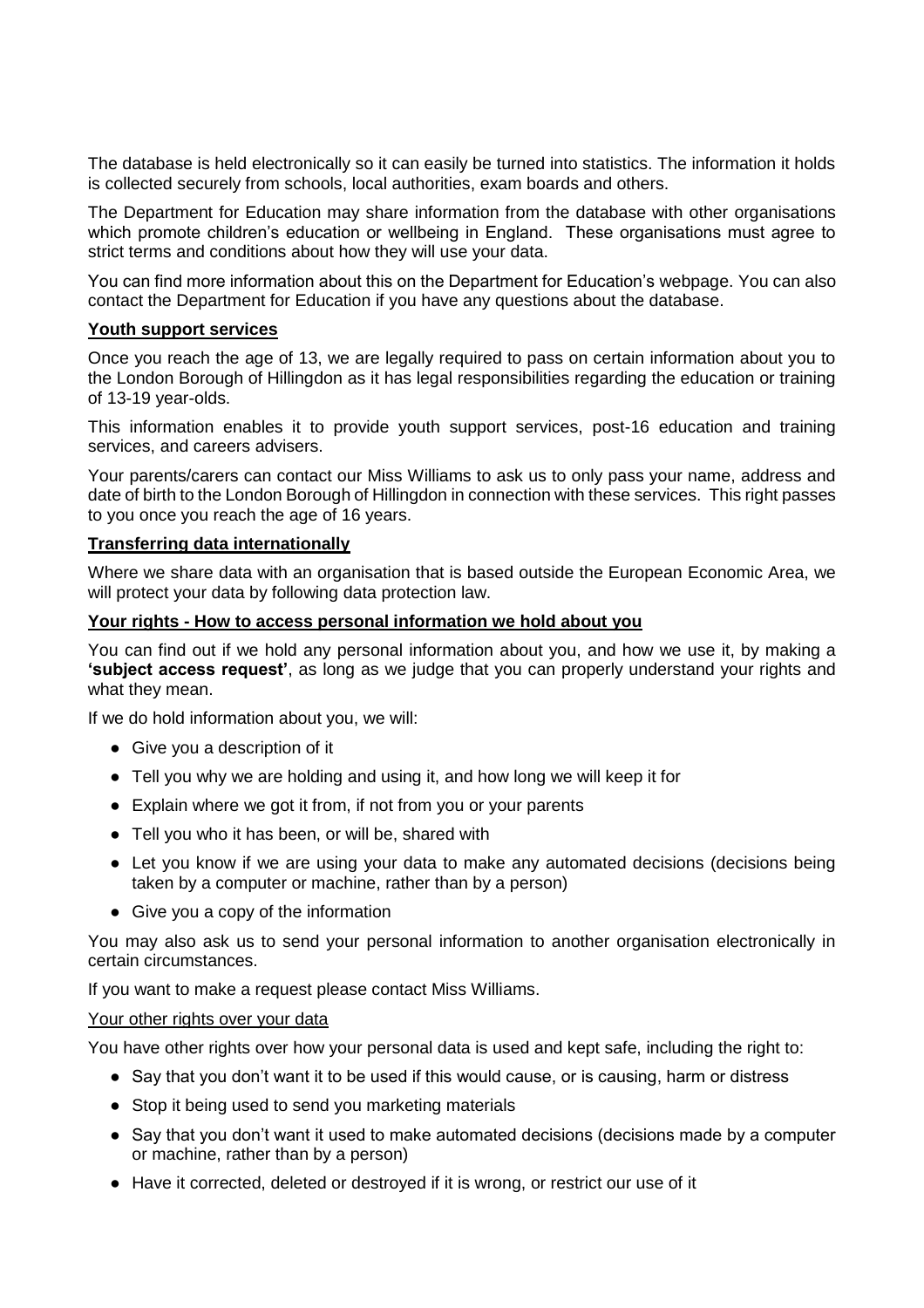The database is held electronically so it can easily be turned into statistics. The information it holds is collected securely from schools, local authorities, exam boards and others.

The Department for Education may share information from the database with other organisations which promote children's education or wellbeing in England. These organisations must agree to strict terms and conditions about how they will use your data.

You can find more information about this on the Department for Education's webpage. You can also contact the Department for Education if you have any questions about the database.

### **Youth support services**

Once you reach the age of 13, we are legally required to pass on certain information about you to the London Borough of Hillingdon as it has legal responsibilities regarding the education or training of 13-19 year-olds.

This information enables it to provide youth support services, post-16 education and training services, and careers advisers.

Your parents/carers can contact our Miss Williams to ask us to only pass your name, address and date of birth to the London Borough of Hillingdon in connection with these services. This right passes to you once you reach the age of 16 years.

### **Transferring data internationally**

Where we share data with an organisation that is based outside the European Economic Area, we will protect your data by following data protection law.

### **Your rights - How to access personal information we hold about you**

You can find out if we hold any personal information about you, and how we use it, by making a **'subject access request'**, as long as we judge that you can properly understand your rights and what they mean.

If we do hold information about you, we will:

- Give you a description of it
- Tell you why we are holding and using it, and how long we will keep it for
- Explain where we got it from, if not from you or your parents
- Tell you who it has been, or will be, shared with
- Let you know if we are using your data to make any automated decisions (decisions being taken by a computer or machine, rather than by a person)
- Give you a copy of the information

You may also ask us to send your personal information to another organisation electronically in certain circumstances.

If you want to make a request please contact Miss Williams.

#### Your other rights over your data

You have other rights over how your personal data is used and kept safe, including the right to:

- Say that you don't want it to be used if this would cause, or is causing, harm or distress
- Stop it being used to send you marketing materials
- Say that you don't want it used to make automated decisions (decisions made by a computer or machine, rather than by a person)
- Have it corrected, deleted or destroyed if it is wrong, or restrict our use of it